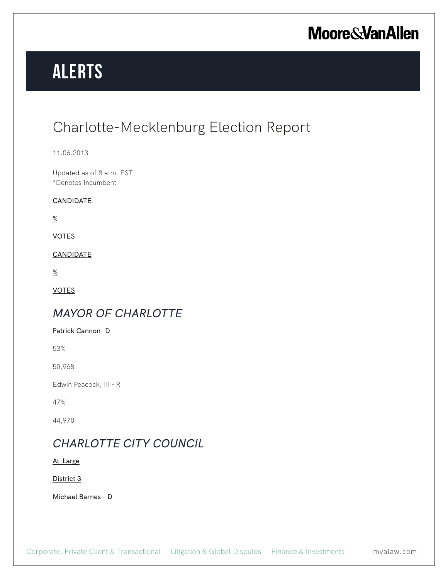# **Alerts**

### Charlotte-Mecklenburg Election Report

11.06.2013

Updated as of 8 a.m. EST \*Denotes Incumbent

#### **CANDIDATE**

 $\frac{\%}{\%}$ 

VOTES

CANDIDATE

 $\frac{\%}{\%}$ 

VOTES

### *MAYOR OF CHARLOTTE*

Patrick Cannon- D

53%

50,968

Edwin Peacock, III - R

47%

44,970

### *CHARLOTTE CITY COUNCIL*

At-Large

District 3

Michael Barnes – D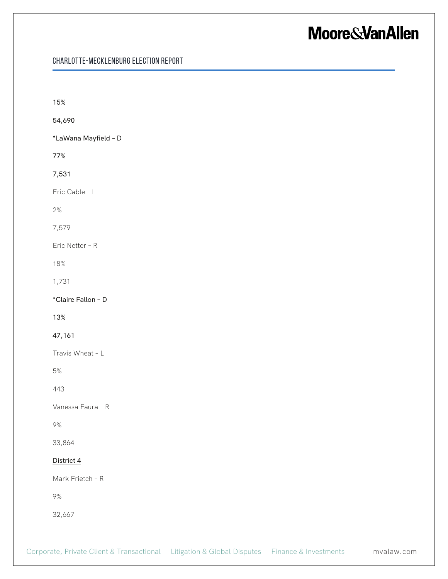| 15%        |                      |  |  |
|------------|----------------------|--|--|
| 54,690     |                      |  |  |
|            | *LaWana Mayfield - D |  |  |
| 77%        |                      |  |  |
| 7,531      |                      |  |  |
|            | Eric Cable - L       |  |  |
| $2\%$      |                      |  |  |
| 7,579      |                      |  |  |
|            | Eric Netter - R      |  |  |
| 18%        |                      |  |  |
| 1,731      |                      |  |  |
|            | *Claire Fallon - D   |  |  |
| 13%        |                      |  |  |
| 47,161     |                      |  |  |
|            | Travis Wheat - L     |  |  |
| $5\%$      |                      |  |  |
| 443        |                      |  |  |
|            | Vanessa Faura - R    |  |  |
| $9\%$      |                      |  |  |
| 33,864     |                      |  |  |
| District 4 |                      |  |  |
|            | Mark Frietch - R     |  |  |
| $9\%$      |                      |  |  |
| 32,667     |                      |  |  |
|            |                      |  |  |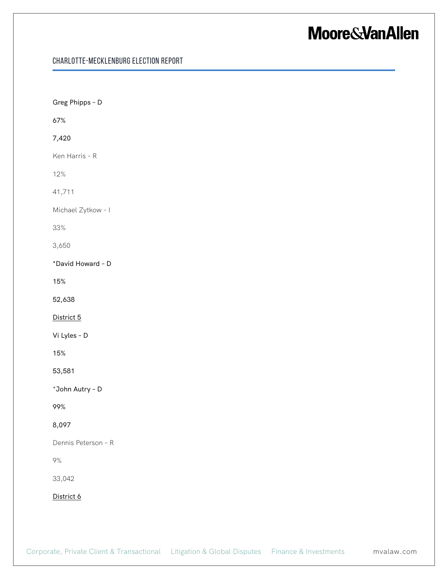| Greg Phipps - D     |  |  |  |
|---------------------|--|--|--|
| 67%                 |  |  |  |
| 7,420               |  |  |  |
| Ken Harris - R      |  |  |  |
| 12%                 |  |  |  |
| 41,711              |  |  |  |
| Michael Zytkow - I  |  |  |  |
| 33%                 |  |  |  |
| 3,650               |  |  |  |
| *David Howard - D   |  |  |  |
| 15%                 |  |  |  |
| 52,638              |  |  |  |
| District 5          |  |  |  |
| Vi Lyles - D        |  |  |  |
| 15%                 |  |  |  |
| 53,581              |  |  |  |
| *John Autry - D     |  |  |  |
| 99%                 |  |  |  |
| 8,097               |  |  |  |
| Dennis Peterson - R |  |  |  |
| $9\%$               |  |  |  |
| 33,042              |  |  |  |
| District 6          |  |  |  |
|                     |  |  |  |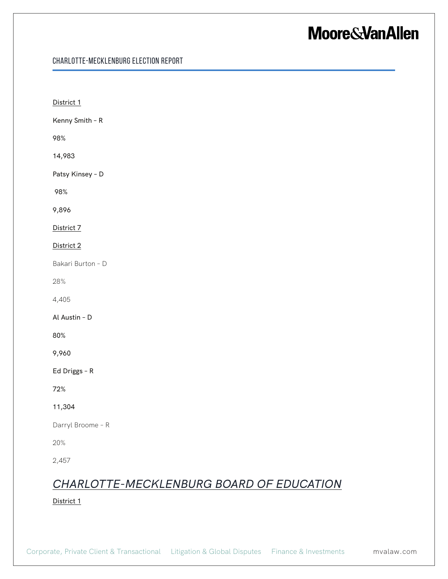| District 1                                             |
|--------------------------------------------------------|
| Kenny Smith - R                                        |
| 98%                                                    |
| 14,983                                                 |
| Patsy Kinsey - D                                       |
| 98%                                                    |
| 9,896                                                  |
| District 7                                             |
| District 2                                             |
| Bakari Burton - D                                      |
| 28%                                                    |
| 4,405                                                  |
| Al Austin - D                                          |
| 80%                                                    |
| 9,960                                                  |
| Ed Driggs - R                                          |
| 72%                                                    |
| 11,304                                                 |
| Darryl Broome - R                                      |
| 20%                                                    |
| 2,457                                                  |
| CHARLOTTE-MECKLENBURG BOARD OF EDUCATION<br>District 1 |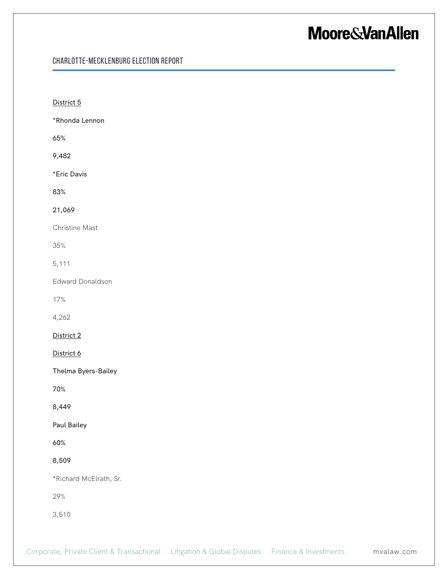| District 5             |
|------------------------|
| *Rhonda Lennon         |
| 65%                    |
| 9,482                  |
| *Eric Davis            |
| 83%                    |
| 21,069                 |
| Christine Mast         |
| 35%                    |
| 5,111                  |
| Edward Donaldson       |
| 17%                    |
| 4,262                  |
| District 2             |
| District 6             |
| Thelma Byers-Bailey    |
| 70%                    |
| 8,449                  |
| Paul Bailey            |
| 60%                    |
| 8,509                  |
| *Richard McElrath, Sr. |
| 29%                    |
| 3,510                  |
|                        |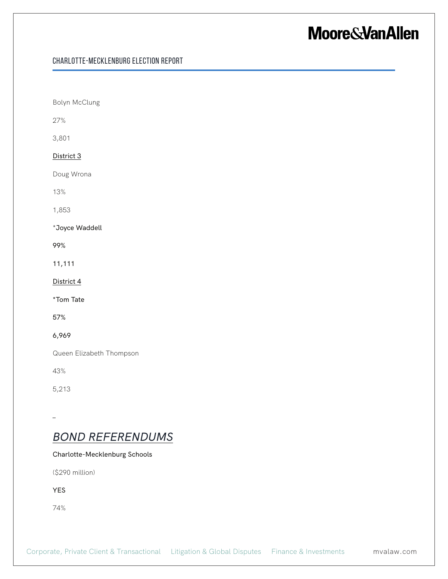#### Charlotte-Mecklenburg Election Report

Bolyn McClung 27% 3,801 District 3 Doug Wrona 13% 1,853 \*Joyce Waddell 99% 11,111 District 4 \*Tom Tate 57% 6,969 Queen Elizabeth Thompson 43% 5,213 *BOND REFERENDUMS*

#### Charlotte-Mecklenburg Schools

(\$290 million)

YES

74%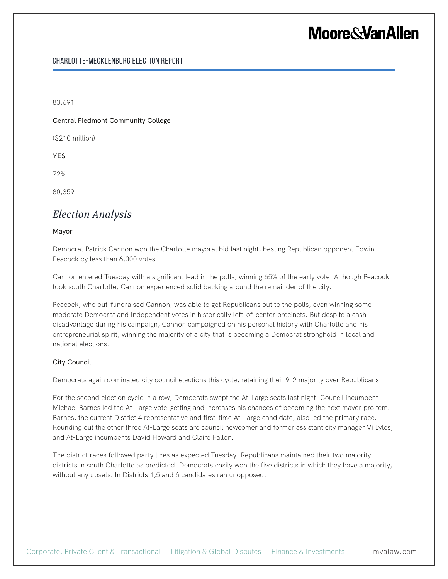#### Charlotte-Mecklenburg Election Report

83,691

Central Piedmont Community College

(\$210 million)

YES

72%

80,359

#### *Election Analysis*

#### Mayor

Democrat Patrick Cannon won the Charlotte mayoral bid last night, besting Republican opponent Edwin Peacock by less than 6,000 votes.

Cannon entered Tuesday with a significant lead in the polls, winning 65% of the early vote. Although Peacock took south Charlotte, Cannon experienced solid backing around the remainder of the city.

Peacock, who out-fundraised Cannon, was able to get Republicans out to the polls, even winning some moderate Democrat and Independent votes in historically left-of-center precincts. But despite a cash disadvantage during his campaign, Cannon campaigned on his personal history with Charlotte and his entrepreneurial spirit, winning the majority of a city that is becoming a Democrat stronghold in local and national elections.

#### City Council

Democrats again dominated city council elections this cycle, retaining their 9-2 majority over Republicans.

For the second election cycle in a row, Democrats swept the At-Large seats last night. Council incumbent Michael Barnes led the At-Large vote-getting and increases his chances of becoming the next mayor pro tem. Barnes, the current District 4 representative and first-time At-Large candidate, also led the primary race. Rounding out the other three At-Large seats are council newcomer and former assistant city manager Vi Lyles, and At-Large incumbents David Howard and Claire Fallon.

The district races followed party lines as expected Tuesday. Republicans maintained their two majority districts in south Charlotte as predicted. Democrats easily won the five districts in which they have a majority, without any upsets. In Districts 1,5 and 6 candidates ran unopposed.